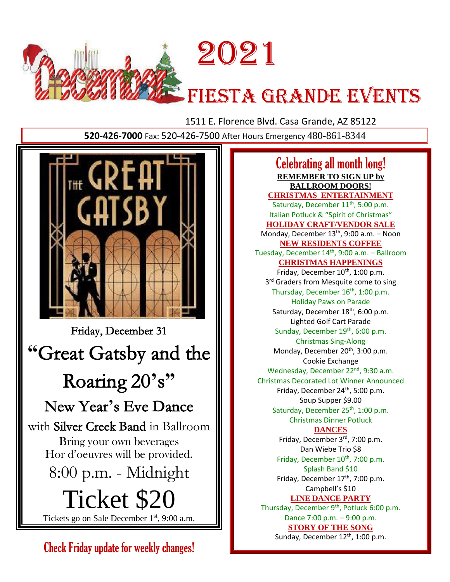

1511 E. Florence Blvd. Casa Grande, AZ 85122

**520-426-7000** Fax: 520-426-7500 After Hours Emergency 480-861-8344



Check Friday update for weekly changes!

Celebrating all month long! **REMEMBER TO SIGN UP by BALLROOM DOORS! CHRISTMAS ENTERTAINMENT** Saturday, December 11<sup>th</sup>, 5:00 p.m. Italian Potluck & "Spirit of Christmas" **HOLIDAY CRAFT/VENDOR SALE** Monday, December  $13<sup>th</sup>$ , 9:00 a.m. – Noon **NEW RESIDENTS COFFEE** Tuesday, December 14 th, 9:00 a.m. – Ballroom **CHRISTMAS HAPPENINGS** Friday, December 10<sup>th</sup>, 1:00 p.m. 3<sup>rd</sup> Graders from Mesquite come to sing Thursday, December 16<sup>th</sup>, 1:00 p.m. Holiday Paws on Parade Saturday, December 18<sup>th</sup>, 6:00 p.m. Lighted Golf Cart Parade Sunday, December 19<sup>th</sup>, 6:00 p.m. Christmas Sing-Along Monday, December 20<sup>th</sup>, 3:00 p.m. Cookie Exchange Wednesday, December 22<sup>nd</sup>, 9:30 a.m. Christmas Decorated Lot Winner Announced Friday, December 24<sup>th</sup>, 5:00 p.m. Soup Supper \$9.00 Saturday, December 25<sup>th</sup>, 1:00 p.m. Christmas Dinner Potluck **DANCES** Friday, December 3<sup>rd</sup>, 7:00 p.m. Dan Wiebe Trio \$8 Friday, December 10<sup>th</sup>, 7:00 p.m. Splash Band \$10 Friday, December 17<sup>th</sup>, 7:00 p.m. Campbell's \$10 **LINE DANCE PARTY** Thursday, December 9<sup>th</sup>, Potluck 6:00 p.m. Dance 7:00 p.m. – 9:00 p.m. **STORY OF THE SONG**

Sunday, December 12<sup>th</sup>, 1:00 p.m.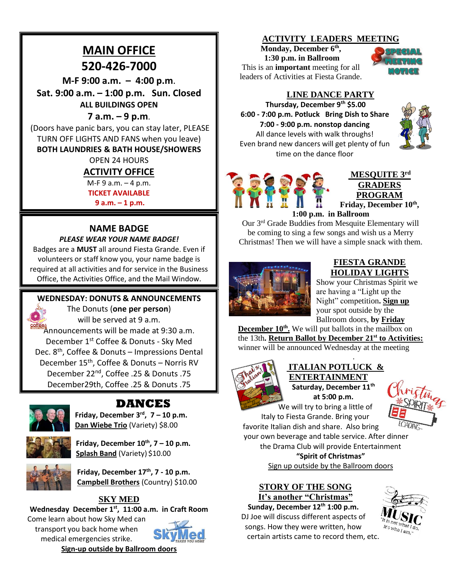# **MAIN OFFICE 520-426-7000**

**M-F 9:00 a.m. – 4:00 p.m**.

**Sat. 9:00 a.m. – 1:00 p.m. Sun. Closed ALL BUILDINGS OPEN**

### **7 a.m. – 9 p.m**.

(Doors have panic bars, you can stay later, PLEASE TURN OFF LIGHTS AND FANS when you leave) **BOTH LAUNDRIES & BATH HOUSE/SHOWERS**

OPEN 24 HOURS

# **ACTIVITY OFFICE**

M-F 9 a.m. – 4 p.m. **TICKET AVAILABLE** 

**9 a.m. – 1 p.m.**

# **NAME BADGE**

#### *PLEASE WEAR YOUR NAME BADGE!*

Badges are a **MUST** all around Fiesta Grande. Even if volunteers or staff know you, your name badge is required at all activities and for service in the Business Office, the Activities Office, and the Mail Window.

# **WEDNESDAY: DONUTS & ANNOUNCEMENTS**

The Donuts (**one per person**) will be served at 9 a.m. **Announcements will be made at 9:30 a.m.** December 1st Coffee & Donuts - Sky Med Dec. 8<sup>th</sup>, Coffee & Donuts - Impressions Dental December 15<sup>th</sup>, Coffee & Donuts - Norris RV December 22<sup>nd</sup>, Coffee .25 & Donuts .75

December29th, Coffee .25 & Donuts .75



# **DANCES**

**Friday, December 3rd , 7 – 10 p.m. Dan Wiebe Trio** (Variety) \$8.00



**Friday, December 10th , 7 – 10 p.m. Splash Band** (Variety) \$10.00

**Friday, December 17th , 7 - 10 p.m. Campbell Brothers** (Country) \$10.00

# **SKY MED**

**Wednesday December 1 st, 11:00 a.m. in Craft Room**

Come learn about how Sky Med can transport you back home when medical emergencies strike. **Sign-up outside by Ballroom doors**



#### **ACTIVITY LEADERS MEETING**

**Monday, December 6th , 1:30 p.m. in Ballroom** This is an **important** meeting for all leaders of Activities at Fiesta Grande.



# **LINE DANCE PARTY**

**Thursday, December 9th \$5.00 6:00 - 7:00 p.m. Potluck Bring Dish to Share 7:00 - 9:00 p.m. nonstop dancing** All dance levels with walk throughs! Even brand new dancers will get plenty of fun time on the dance floor





**MESQUITE 3rd GRADERS PROGRAM Friday, December 10th ,** 

**1:00 p.m. in Ballroom**

Our 3rd Grade Buddies from Mesquite Elementary will be coming to sing a few songs and wish us a Merry Christmas! Then we will have a simple snack with them.



#### **FIESTA GRANDE HOLIDAY LIGHTS**

Show your Christmas Spirit we are having a "Light up the Night" competition**. Sign up** your spot outside by the Ballroom doors, **by Friday**

**December 10th .** We will put ballots in the mailbox on the 13th**. Return Ballot by December 21st to Activities:** winner will be announced Wednesday at the meeting



#### **ITALIAN POTLUCK & ENTERTAINMENT Saturday, December 11th**

.

**at 5:00 p.m.** We will try to bring a little of



Italy to Fiesta Grande. Bring your favorite Italian dish and share. Also bring

your own beverage and table service. After dinner the Drama Club will provide Entertainment

**"Spirit of Christmas"** 

Sign up outside by the Ballroom doors

#### **STORY OF THE SONG It's another "Christmas"**

**Sunday, December 12th 1:00 p.m.** DJ Joe will discuss different aspects of songs. How they were written, how certain artists came to record them, et[c.](https://www.google.com/url?sa=i&rct=j&q=&esrc=s&source=images&cd=&cad=rja&uact=8&ved=0ahUKEwjew5TyuMHXAhWEz4MKHf6PCrcQjRwIBw&url=https://www.wattpad.com/173279565-song-lyrics-new-romantics-taylor-swift&psig=AOvVaw2maCbJIAnPifHcf5MY5B9p&ust=1510864758155657)

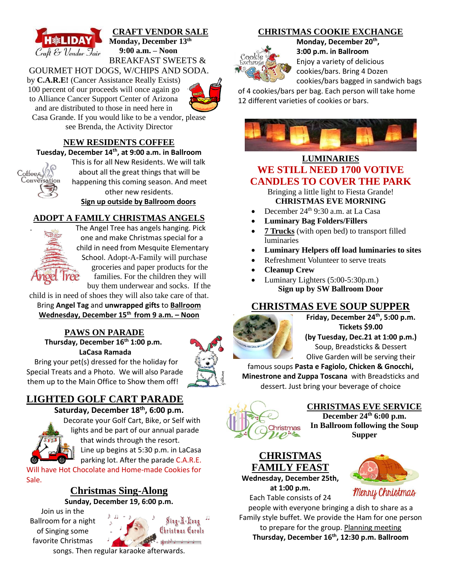

**CRAFT VENDOR SALE Monday, December 13th 9:00 a.m. – Noon** BREAKFAST SWEETS &

# GOURMET HOT DOGS, W/CHIPS AND SODA.



Casa Grande. If you would like to be a vendor, please see Brenda, the Activity Director

to Alliance Cancer Support Center of Arizona and are distributed to those in need here in

### **NEW RESIDENTS COFFEE**

**Tuesday, December 14th , at 9:00 a.m. in Ballroom**



This is for all New Residents. We will talk about all the great things that will be happening this coming season. And meet other new residents.

**Sign up outside by Ballroom doors**

#### **ADOPT A FAMILY CHRISTMAS ANGELS**



. The Angel Tree has angels hanging. Pick one and make Christmas special for a child in need from Mesquite Elementary School. Adopt-A-Family will purchase groceries and paper products for the families. For the children they will buy them underwear and socks. If the

child is in need of shoes they will also take care of that. Bring **Angel Tag** and **unwrapped gifts** to **Ballroom Wednesday, December 15 th from 9 a.m. – Noon**

#### **PAWS ON PARADE Thursday, December 16 th 1:00 p.m. LaCasa Ramada**



Bring your pet(s) dressed for the holiday for Special Treats and a Photo. We will also Parade them up to the Main Office to Show them off!

# **LIGHTED GOLF CART PARADE**

# **Saturday, December 18th, 6:00 p.m.**



[Dec](https://www.google.com/imgres?imgurl=x-raw-image:///85fe4a1eebc882361b93f4dc39c1f0d8de132650f5ec836f0a26d9ce3b4ca321&imgrefurl=http://capecharles.municipalcms.com/docview.aspx?doctype=fd&docid=21765&docid=D1qThgIGMmutsM&tbnid=NoLI6x5K_oUfpM:&vet=10ahUKEwiMiKm_pNLeAhUJpIMKHTeoA9MQMwiLASg-MD4..i&w=633&h=577&hl=en&bih=673&biw=1344&q=christmas%20Lighted%20golf%20cart%20parade%20%20%20clipart&ved=0ahUKEwiMiKm_pNLeAhUJpIMKHTeoA9MQMwiLASg-MD4&iact=mrc&uact=8)orate your Golf Cart, Bike, or Self with lights and be part of our annual parade that winds through the resort. Line up begins at 5:30 p.m. in LaCasa

Will have Hot Chocolate and Home-made Cookies for Sale.

# **Christmas Sing-Along**

Join us in the Ballroom for a night of Singing some favorite Christmas

parking lot. After the parade C.A.R.E.

# **Sunday, December 19, 6:00 p.m.**

 $Sing \, M$  Long Christmas Carols

songs. Then regular karaoke afterwards.

# **CHRISTMAS COOKIE EXCHANGE**



**Monday, December 20th , 3:00 p.m. in Ballroom** Enjoy a variety of delicious cookies/bars. Bring 4 Dozen cookies/bars bagged in sandwich bags

of 4 cookies/bars per bag. Each person will take home 12 different varieties of cookies or bars.



# **LUMINARIES WE STILL NEED 1700 VOTIVE CANDLES TO COVER THE PARK**

Bringing a little light to Fiesta Grande! **CHRISTMAS EVE MORNING**

- December 24th 9:30 a.m. at La Casa
- **Luminary Bag Folders/Fillers**
- **7 Trucks** (with open bed) to transport filled luminaries
- **Luminary Helpers off load luminaries to sites**
- Refreshment Volunteer to serve treats
- **Cleanup Crew**
- Luminary Lighters (5:00-5:30p.m.) **Sign up by SW Ballroom Door**

# **CHRISTMAS EVE SOUP SUPPER**



**Friday, December 24th, 5:00 p.m. Tickets \$9.00 (by Tuesday, Dec.21 at 1:00 p.m.)** Soup, Breadsticks & Dessert Olive Garden will be serving their

famous soups **Pasta e Fagiolo, Chicken & Gnocchi, Minestrone and Zuppa Toscana** with Breadsticks and dessert. Just bring your beverage of choice



#### **CHRISTMAS EVE SERVICE**

**December 24th 6:00 p.m. In Ballroom following the Soup Supper**

# **CHRISTMAS FAMILY FEAST**

**Wednesday, December 25th, at 1:00 p.m.**

Each Table consists of 24

people with everyone bringing a dish to share as a Family style buffet. We provide the Ham for one person to prepare for the group. Planning meeting **Thursday, December 16 th, 12:30 p.m. Ballroom**